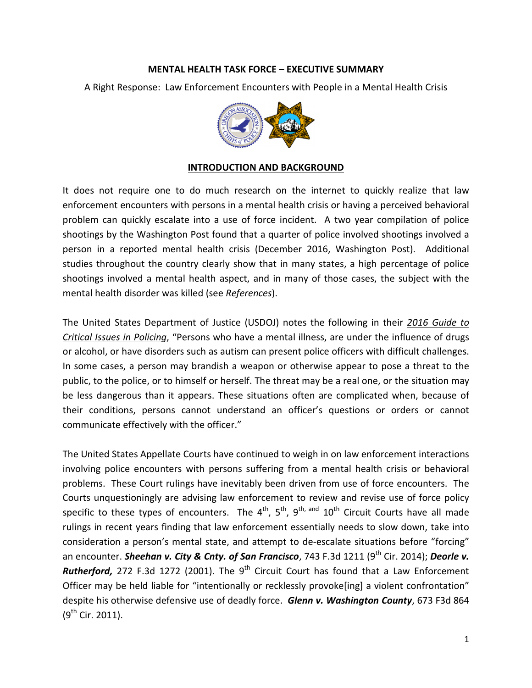#### MENTAL HEALTH TASK FORCE – EXECUTIVE SUMMARY

A Right Response: Law Enforcement Encounters with People in a Mental Health Crisis



### INTRODUCTION AND BACKGROUND

It does not require one to do much research on the internet to quickly realize that law enforcement encounters with persons in a mental health crisis or having a perceived behavioral problem can quickly escalate into a use of force incident. A two year compilation of police shootings by the Washington Post found that a quarter of police involved shootings involved a person in a reported mental health crisis (December 2016, Washington Post). Additional studies throughout the country clearly show that in many states, a high percentage of police shootings involved a mental health aspect, and in many of those cases, the subject with the mental health disorder was killed (see References).

The United States Department of Justice (USDOJ) notes the following in their 2016 Guide to Critical Issues in Policing, "Persons who have a mental illness, are under the influence of drugs or alcohol, or have disorders such as autism can present police officers with difficult challenges. In some cases, a person may brandish a weapon or otherwise appear to pose a threat to the public, to the police, or to himself or herself. The threat may be a real one, or the situation may be less dangerous than it appears. These situations often are complicated when, because of their conditions, persons cannot understand an officer's questions or orders or cannot communicate effectively with the officer."

The United States Appellate Courts have continued to weigh in on law enforcement interactions involving police encounters with persons suffering from a mental health crisis or behavioral problems. These Court rulings have inevitably been driven from use of force encounters. The Courts unquestioningly are advising law enforcement to review and revise use of force policy specific to these types of encounters. The  $4^{th}$ ,  $5^{th}$ ,  $9^{th}$ , and  $10^{th}$  Circuit Courts have all made rulings in recent years finding that law enforcement essentially needs to slow down, take into consideration a person's mental state, and attempt to de-escalate situations before "forcing" an encounter. Sheehan v. City & Cnty. of San Francisco, 743 F.3d 1211 (9<sup>th</sup> Cir. 2014); Deorle v. **Rutherford,** 272 F.3d 1272 (2001). The 9<sup>th</sup> Circuit Court has found that a Law Enforcement Officer may be held liable for "intentionally or recklessly provoke[ing] a violent confrontation" despite his otherwise defensive use of deadly force. Glenn v. Washington County, 673 F3d 864  $(9^{th}$  Cir. 2011).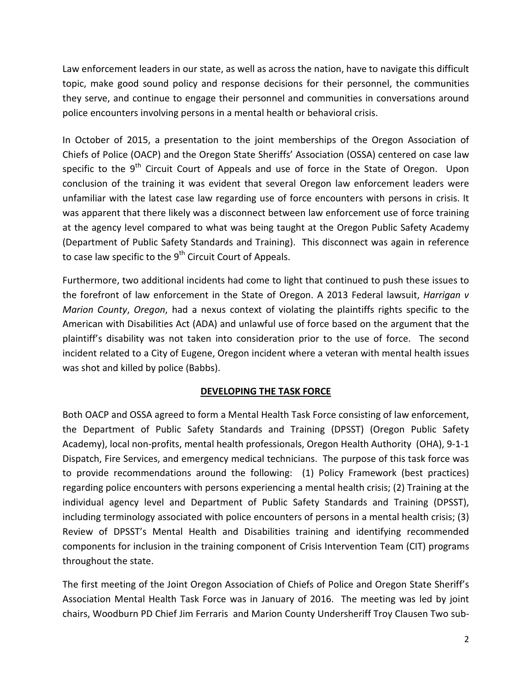Law enforcement leaders in our state, as well as across the nation, have to navigate this difficult topic, make good sound policy and response decisions for their personnel, the communities they serve, and continue to engage their personnel and communities in conversations around police encounters involving persons in a mental health or behavioral crisis.

In October of 2015, a presentation to the joint memberships of the Oregon Association of Chiefs of Police (OACP) and the Oregon State Sheriffs' Association (OSSA) centered on case law specific to the 9<sup>th</sup> Circuit Court of Appeals and use of force in the State of Oregon. Upon conclusion of the training it was evident that several Oregon law enforcement leaders were unfamiliar with the latest case law regarding use of force encounters with persons in crisis. It was apparent that there likely was a disconnect between law enforcement use of force training at the agency level compared to what was being taught at the Oregon Public Safety Academy (Department of Public Safety Standards and Training). This disconnect was again in reference to case law specific to the  $9<sup>th</sup>$  Circuit Court of Appeals.

Furthermore, two additional incidents had come to light that continued to push these issues to the forefront of law enforcement in the State of Oregon. A 2013 Federal lawsuit, *Harrigan v* Marion County, Oregon, had a nexus context of violating the plaintiffs rights specific to the American with Disabilities Act (ADA) and unlawful use of force based on the argument that the plaintiff's disability was not taken into consideration prior to the use of force. The second incident related to a City of Eugene, Oregon incident where a veteran with mental health issues was shot and killed by police (Babbs).

## DEVELOPING THE TASK FORCE

Both OACP and OSSA agreed to form a Mental Health Task Force consisting of law enforcement, the Department of Public Safety Standards and Training (DPSST) (Oregon Public Safety Academy), local non-profits, mental health professionals, Oregon Health Authority (OHA), 9-1-1 Dispatch, Fire Services, and emergency medical technicians. The purpose of this task force was to provide recommendations around the following: (1) Policy Framework (best practices) regarding police encounters with persons experiencing a mental health crisis; (2) Training at the individual agency level and Department of Public Safety Standards and Training (DPSST), including terminology associated with police encounters of persons in a mental health crisis; (3) Review of DPSST's Mental Health and Disabilities training and identifying recommended components for inclusion in the training component of Crisis Intervention Team (CIT) programs throughout the state.

The first meeting of the Joint Oregon Association of Chiefs of Police and Oregon State Sheriff's Association Mental Health Task Force was in January of 2016. The meeting was led by joint chairs, Woodburn PD Chief Jim Ferraris and Marion County Undersheriff Troy Clausen Two sub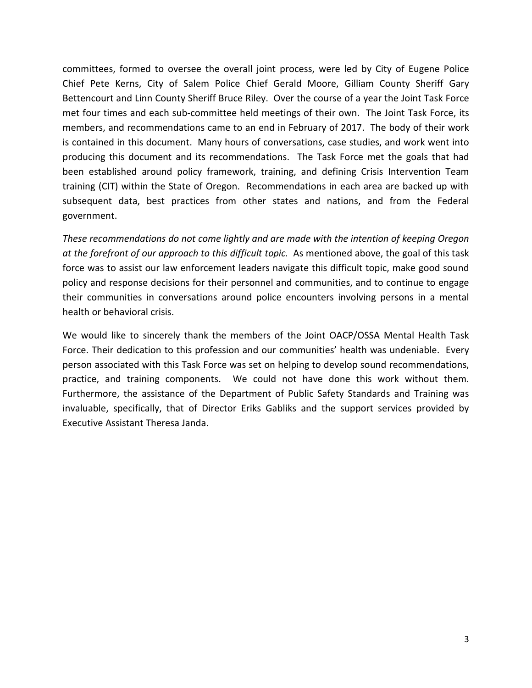committees, formed to oversee the overall joint process, were led by City of Eugene Police Chief Pete Kerns, City of Salem Police Chief Gerald Moore, Gilliam County Sheriff Gary Bettencourt and Linn County Sheriff Bruce Riley. Over the course of a year the Joint Task Force met four times and each sub-committee held meetings of their own. The Joint Task Force, its members, and recommendations came to an end in February of 2017. The body of their work is contained in this document. Many hours of conversations, case studies, and work went into producing this document and its recommendations. The Task Force met the goals that had been established around policy framework, training, and defining Crisis Intervention Team training (CIT) within the State of Oregon. Recommendations in each area are backed up with subsequent data, best practices from other states and nations, and from the Federal government.

These recommendations do not come lightly and are made with the intention of keeping Oregon at the forefront of our approach to this difficult topic. As mentioned above, the goal of this task force was to assist our law enforcement leaders navigate this difficult topic, make good sound policy and response decisions for their personnel and communities, and to continue to engage their communities in conversations around police encounters involving persons in a mental health or behavioral crisis.

We would like to sincerely thank the members of the Joint OACP/OSSA Mental Health Task Force. Their dedication to this profession and our communities' health was undeniable. Every person associated with this Task Force was set on helping to develop sound recommendations, practice, and training components. We could not have done this work without them. Furthermore, the assistance of the Department of Public Safety Standards and Training was invaluable, specifically, that of Director Eriks Gabliks and the support services provided by Executive Assistant Theresa Janda.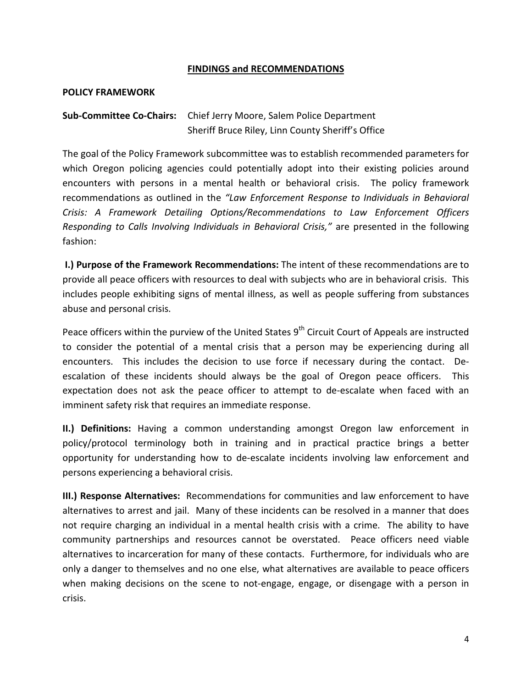#### FINDINGS and RECOMMENDATIONS

#### POLICY FRAMEWORK

## Sub-Committee Co-Chairs: Chief Jerry Moore, Salem Police Department Sheriff Bruce Riley, Linn County Sheriff's Office

The goal of the Policy Framework subcommittee was to establish recommended parameters for which Oregon policing agencies could potentially adopt into their existing policies around encounters with persons in a mental health or behavioral crisis. The policy framework recommendations as outlined in the "Law Enforcement Response to Individuals in Behavioral Crisis: A Framework Detailing Options/Recommendations to Law Enforcement Officers Responding to Calls Involving Individuals in Behavioral Crisis," are presented in the following fashion:

 I.) Purpose of the Framework Recommendations: The intent of these recommendations are to provide all peace officers with resources to deal with subjects who are in behavioral crisis. This includes people exhibiting signs of mental illness, as well as people suffering from substances abuse and personal crisis.

Peace officers within the purview of the United States  $9<sup>th</sup>$  Circuit Court of Appeals are instructed to consider the potential of a mental crisis that a person may be experiencing during all encounters. This includes the decision to use force if necessary during the contact. Deescalation of these incidents should always be the goal of Oregon peace officers. This expectation does not ask the peace officer to attempt to de-escalate when faced with an imminent safety risk that requires an immediate response.

II.) Definitions: Having a common understanding amongst Oregon law enforcement in policy/protocol terminology both in training and in practical practice brings a better opportunity for understanding how to de-escalate incidents involving law enforcement and persons experiencing a behavioral crisis.

III.) Response Alternatives: Recommendations for communities and law enforcement to have alternatives to arrest and jail. Many of these incidents can be resolved in a manner that does not require charging an individual in a mental health crisis with a crime. The ability to have community partnerships and resources cannot be overstated. Peace officers need viable alternatives to incarceration for many of these contacts. Furthermore, for individuals who are only a danger to themselves and no one else, what alternatives are available to peace officers when making decisions on the scene to not-engage, engage, or disengage with a person in crisis.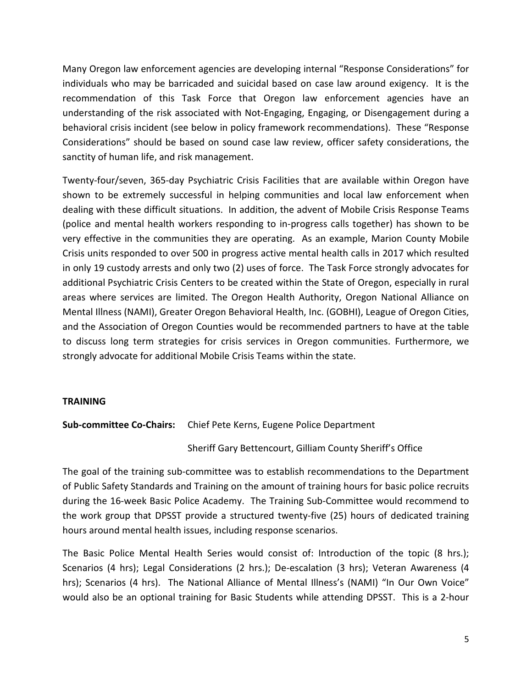Many Oregon law enforcement agencies are developing internal "Response Considerations" for individuals who may be barricaded and suicidal based on case law around exigency. It is the recommendation of this Task Force that Oregon law enforcement agencies have an understanding of the risk associated with Not-Engaging, Engaging, or Disengagement during a behavioral crisis incident (see below in policy framework recommendations). These "Response Considerations" should be based on sound case law review, officer safety considerations, the sanctity of human life, and risk management.

Twenty-four/seven, 365-day Psychiatric Crisis Facilities that are available within Oregon have shown to be extremely successful in helping communities and local law enforcement when dealing with these difficult situations. In addition, the advent of Mobile Crisis Response Teams (police and mental health workers responding to in-progress calls together) has shown to be very effective in the communities they are operating. As an example, Marion County Mobile Crisis units responded to over 500 in progress active mental health calls in 2017 which resulted in only 19 custody arrests and only two (2) uses of force. The Task Force strongly advocates for additional Psychiatric Crisis Centers to be created within the State of Oregon, especially in rural areas where services are limited. The Oregon Health Authority, Oregon National Alliance on Mental Illness (NAMI), Greater Oregon Behavioral Health, Inc. (GOBHI), League of Oregon Cities, and the Association of Oregon Counties would be recommended partners to have at the table to discuss long term strategies for crisis services in Oregon communities. Furthermore, we strongly advocate for additional Mobile Crisis Teams within the state.

### TRAINING

### Sub-committee Co-Chairs: Chief Pete Kerns, Eugene Police Department

### Sheriff Gary Bettencourt, Gilliam County Sheriff's Office

The goal of the training sub-committee was to establish recommendations to the Department of Public Safety Standards and Training on the amount of training hours for basic police recruits during the 16-week Basic Police Academy. The Training Sub-Committee would recommend to the work group that DPSST provide a structured twenty-five (25) hours of dedicated training hours around mental health issues, including response scenarios.

The Basic Police Mental Health Series would consist of: Introduction of the topic (8 hrs.); Scenarios (4 hrs); Legal Considerations (2 hrs.); De-escalation (3 hrs); Veteran Awareness (4 hrs); Scenarios (4 hrs). The National Alliance of Mental Illness's (NAMI) "In Our Own Voice" would also be an optional training for Basic Students while attending DPSST. This is a 2-hour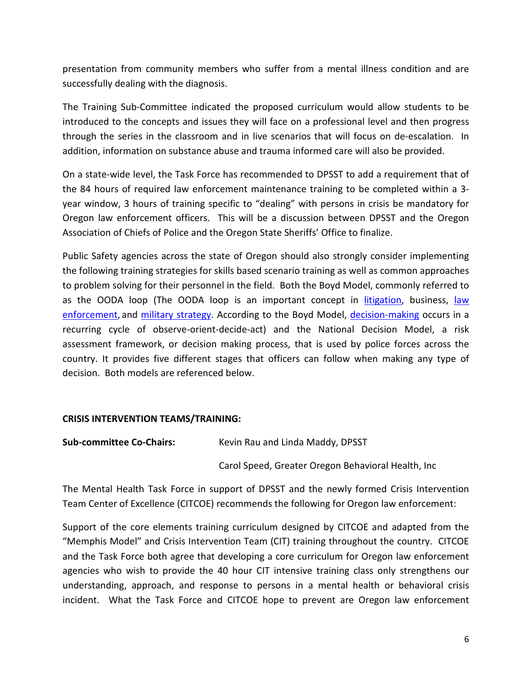presentation from community members who suffer from a mental illness condition and are successfully dealing with the diagnosis.

The Training Sub-Committee indicated the proposed curriculum would allow students to be introduced to the concepts and issues they will face on a professional level and then progress through the series in the classroom and in live scenarios that will focus on de-escalation. In addition, information on substance abuse and trauma informed care will also be provided.

On a state-wide level, the Task Force has recommended to DPSST to add a requirement that of the 84 hours of required law enforcement maintenance training to be completed within a 3 year window, 3 hours of training specific to "dealing" with persons in crisis be mandatory for Oregon law enforcement officers. This will be a discussion between DPSST and the Oregon Association of Chiefs of Police and the Oregon State Sheriffs' Office to finalize.

Public Safety agencies across the state of Oregon should also strongly consider implementing the following training strategies for skills based scenario training as well as common approaches to problem solving for their personnel in the field. Both the Boyd Model, commonly referred to as the OODA loop (The OODA loop is an important concept in *litigation*, business, law enforcement, and military strategy. According to the Boyd Model, decision-making occurs in a recurring cycle of observe-orient-decide-act) and the National Decision Model, a risk assessment framework, or decision making process, that is used by police forces across the country. It provides five different stages that officers can follow when making any type of decision. Both models are referenced below.

## CRISIS INTERVENTION TEAMS/TRAINING:

Sub-committee Co-Chairs: Kevin Rau and Linda Maddy, DPSST

Carol Speed, Greater Oregon Behavioral Health, Inc

The Mental Health Task Force in support of DPSST and the newly formed Crisis Intervention Team Center of Excellence (CITCOE) recommends the following for Oregon law enforcement:

Support of the core elements training curriculum designed by CITCOE and adapted from the "Memphis Model" and Crisis Intervention Team (CIT) training throughout the country. CITCOE and the Task Force both agree that developing a core curriculum for Oregon law enforcement agencies who wish to provide the 40 hour CIT intensive training class only strengthens our understanding, approach, and response to persons in a mental health or behavioral crisis incident. What the Task Force and CITCOE hope to prevent are Oregon law enforcement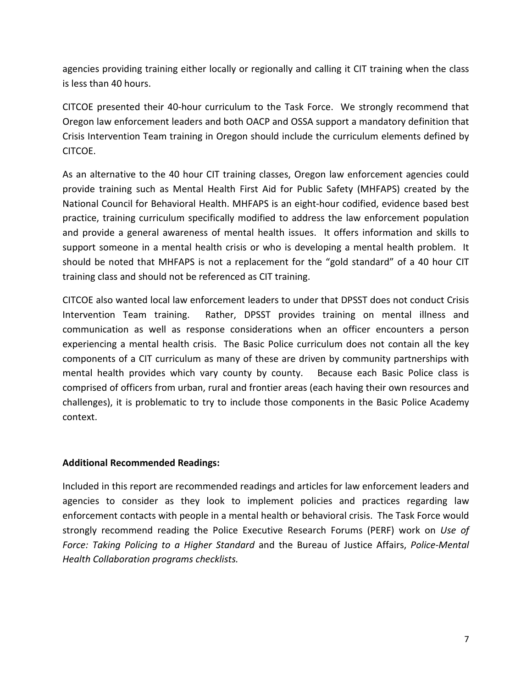agencies providing training either locally or regionally and calling it CIT training when the class is less than 40 hours.

CITCOE presented their 40-hour curriculum to the Task Force. We strongly recommend that Oregon law enforcement leaders and both OACP and OSSA support a mandatory definition that Crisis Intervention Team training in Oregon should include the curriculum elements defined by CITCOE.

As an alternative to the 40 hour CIT training classes, Oregon law enforcement agencies could provide training such as Mental Health First Aid for Public Safety (MHFAPS) created by the National Council for Behavioral Health. MHFAPS is an eight-hour codified, evidence based best practice, training curriculum specifically modified to address the law enforcement population and provide a general awareness of mental health issues. It offers information and skills to support someone in a mental health crisis or who is developing a mental health problem. It should be noted that MHFAPS is not a replacement for the "gold standard" of a 40 hour CIT training class and should not be referenced as CIT training.

CITCOE also wanted local law enforcement leaders to under that DPSST does not conduct Crisis Intervention Team training. Rather, DPSST provides training on mental illness and communication as well as response considerations when an officer encounters a person experiencing a mental health crisis. The Basic Police curriculum does not contain all the key components of a CIT curriculum as many of these are driven by community partnerships with mental health provides which vary county by county. Because each Basic Police class is comprised of officers from urban, rural and frontier areas (each having their own resources and challenges), it is problematic to try to include those components in the Basic Police Academy context.

## Additional Recommended Readings:

Included in this report are recommended readings and articles for law enforcement leaders and agencies to consider as they look to implement policies and practices regarding law enforcement contacts with people in a mental health or behavioral crisis. The Task Force would strongly recommend reading the Police Executive Research Forums (PERF) work on Use of Force: Taking Policing to a Higher Standard and the Bureau of Justice Affairs, Police-Mental Health Collaboration programs checklists.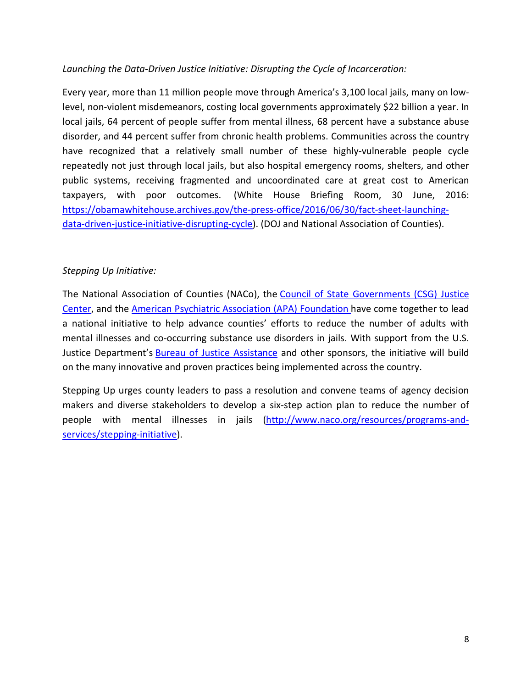## Launching the Data-Driven Justice Initiative: Disrupting the Cycle of Incarceration:

Every year, more than 11 million people move through America's 3,100 local jails, many on lowlevel, non-violent misdemeanors, costing local governments approximately \$22 billion a year. In local jails, 64 percent of people suffer from mental illness, 68 percent have a substance abuse disorder, and 44 percent suffer from chronic health problems. Communities across the country have recognized that a relatively small number of these highly-vulnerable people cycle repeatedly not just through local jails, but also hospital emergency rooms, shelters, and other public systems, receiving fragmented and uncoordinated care at great cost to American taxpayers, with poor outcomes. (White House Briefing Room, 30 June, 2016: https://obamawhitehouse.archives.gov/the-press-office/2016/06/30/fact-sheet-launchingdata-driven-justice-initiative-disrupting-cycle). (DOJ and National Association of Counties).

## Stepping Up Initiative:

The National Association of Counties (NACo), the Council of State Governments (CSG) Justice Center, and the American Psychiatric Association (APA) Foundation have come together to lead a national initiative to help advance counties' efforts to reduce the number of adults with mental illnesses and co-occurring substance use disorders in jails. With support from the U.S. Justice Department's Bureau of Justice Assistance and other sponsors, the initiative will build on the many innovative and proven practices being implemented across the country.

Stepping Up urges county leaders to pass a resolution and convene teams of agency decision makers and diverse stakeholders to develop a six-step action plan to reduce the number of people with mental illnesses in jails (http://www.naco.org/resources/programs-andservices/stepping-initiative).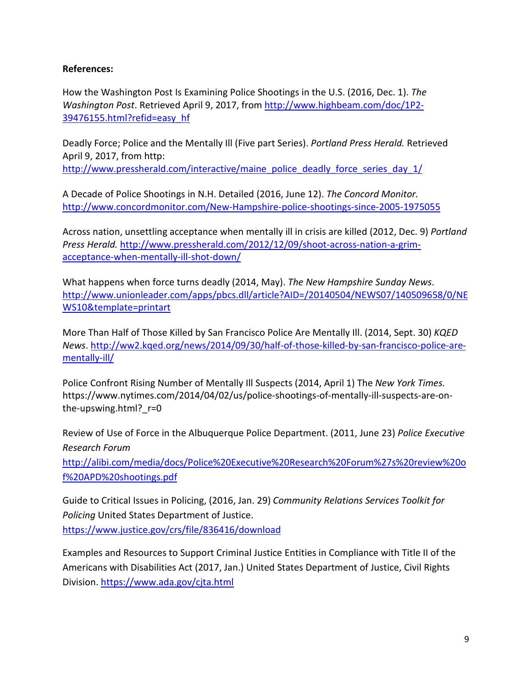### References:

How the Washington Post Is Examining Police Shootings in the U.S. (2016, Dec. 1). The Washington Post. Retrieved April 9, 2017, from http://www.highbeam.com/doc/1P2- 39476155.html?refid=easy\_hf

Deadly Force; Police and the Mentally Ill (Five part Series). Portland Press Herald. Retrieved April 9, 2017, from http: http://www.pressherald.com/interactive/maine\_police\_deadly\_force\_series\_day\_1/

A Decade of Police Shootings in N.H. Detailed (2016, June 12). The Concord Monitor. http://www.concordmonitor.com/New-Hampshire-police-shootings-since-2005-1975055

Across nation, unsettling acceptance when mentally ill in crisis are killed (2012, Dec. 9) Portland Press Herald. http://www.pressherald.com/2012/12/09/shoot-across-nation-a-grimacceptance-when-mentally-ill-shot-down/

What happens when force turns deadly (2014, May). The New Hampshire Sunday News. http://www.unionleader.com/apps/pbcs.dll/article?AID=/20140504/NEWS07/140509658/0/NE WS10&template=printart

More Than Half of Those Killed by San Francisco Police Are Mentally Ill. (2014, Sept. 30) KQED News. http://ww2.kqed.org/news/2014/09/30/half-of-those-killed-by-san-francisco-police-arementally-ill/

Police Confront Rising Number of Mentally Ill Suspects (2014, April 1) The New York Times. https://www.nytimes.com/2014/04/02/us/police-shootings-of-mentally-ill-suspects-are-onthe-upswing.html?\_r=0

Review of Use of Force in the Albuquerque Police Department. (2011, June 23) Police Executive Research Forum

http://alibi.com/media/docs/Police%20Executive%20Research%20Forum%27s%20review%20o f%20APD%20shootings.pdf

Guide to Critical Issues in Policing, (2016, Jan. 29) Community Relations Services Toolkit for Policing United States Department of Justice. https://www.justice.gov/crs/file/836416/download

Examples and Resources to Support Criminal Justice Entities in Compliance with Title II of the Americans with Disabilities Act (2017, Jan.) United States Department of Justice, Civil Rights Division. https://www.ada.gov/cjta.html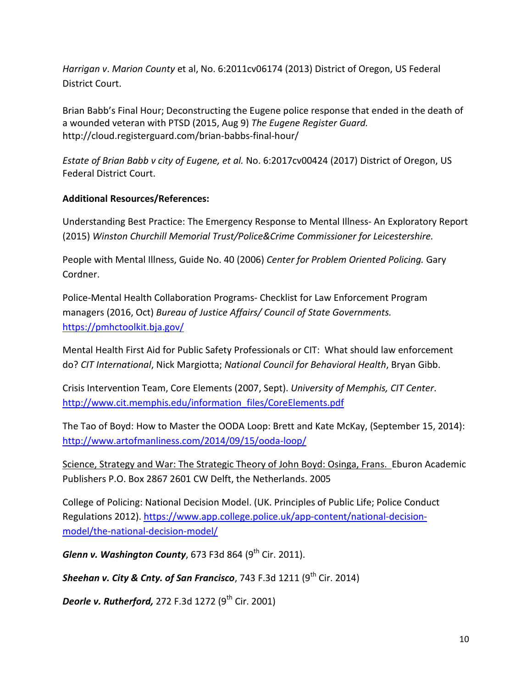Harrigan v. Marion County et al, No. 6:2011cv06174 (2013) District of Oregon, US Federal District Court.

Brian Babb's Final Hour; Deconstructing the Eugene police response that ended in the death of a wounded veteran with PTSD (2015, Aug 9) The Eugene Register Guard. http://cloud.registerguard.com/brian-babbs-final-hour/

Estate of Brian Babb v city of Eugene, et al. No. 6:2017cv00424 (2017) District of Oregon, US Federal District Court.

## Additional Resources/References:

Understanding Best Practice: The Emergency Response to Mental Illness- An Exploratory Report (2015) Winston Churchill Memorial Trust/Police&Crime Commissioner for Leicestershire.

People with Mental Illness, Guide No. 40 (2006) Center for Problem Oriented Policing. Gary Cordner.

Police-Mental Health Collaboration Programs- Checklist for Law Enforcement Program managers (2016, Oct) Bureau of Justice Affairs/ Council of State Governments. https://pmhctoolkit.bja.gov/

Mental Health First Aid for Public Safety Professionals or CIT: What should law enforcement do? CIT International, Nick Margiotta; National Council for Behavioral Health, Bryan Gibb.

Crisis Intervention Team, Core Elements (2007, Sept). University of Memphis, CIT Center. http://www.cit.memphis.edu/information\_files/CoreElements.pdf

The Tao of Boyd: How to Master the OODA Loop: Brett and Kate McKay, (September 15, 2014): http://www.artofmanliness.com/2014/09/15/ooda-loop/

Science, Strategy and War: The Strategic Theory of John Boyd: Osinga, Frans. Eburon Academic Publishers P.O. Box 2867 2601 CW Delft, the Netherlands. 2005

College of Policing: National Decision Model. (UK. Principles of Public Life; Police Conduct Regulations 2012). https://www.app.college.police.uk/app-content/national-decisionmodel/the-national-decision-model/

Glenn v. Washington County, 673 F3d 864  $(9<sup>th</sup>$  Cir. 2011).

Sheehan v. City & Cnty. of San Francisco, 743 F.3d 1211 (9<sup>th</sup> Cir. 2014)

Deorle v. Rutherford, 272 F.3d 1272  $(9<sup>th</sup>$  Cir. 2001)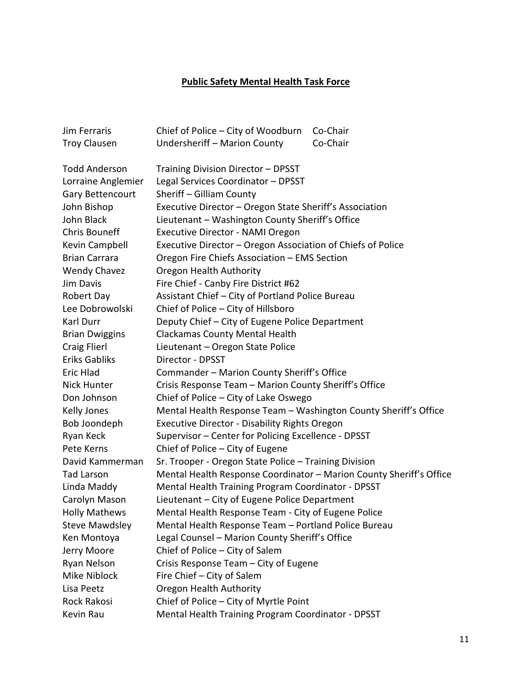# Public Safety Mental Health Task Force

| <b>Jim Ferraris</b>   | Chief of Police – City of Woodburn<br>Co-Chair                      |  |
|-----------------------|---------------------------------------------------------------------|--|
| <b>Troy Clausen</b>   | Co-Chair<br>Undersheriff - Marion County                            |  |
| <b>Todd Anderson</b>  | Training Division Director - DPSST                                  |  |
| Lorraine Anglemier    | Legal Services Coordinator - DPSST                                  |  |
| Gary Bettencourt      | Sheriff - Gilliam County                                            |  |
| John Bishop           | Executive Director - Oregon State Sheriff's Association             |  |
| John Black            | Lieutenant - Washington County Sheriff's Office                     |  |
| <b>Chris Bouneff</b>  | Executive Director - NAMI Oregon                                    |  |
| Kevin Campbell        | Executive Director - Oregon Association of Chiefs of Police         |  |
| <b>Brian Carrara</b>  | Oregon Fire Chiefs Association - EMS Section                        |  |
| <b>Wendy Chavez</b>   | Oregon Health Authority                                             |  |
| Jim Davis             | Fire Chief - Canby Fire District #62                                |  |
| Robert Day            | Assistant Chief - City of Portland Police Bureau                    |  |
| Lee Dobrowolski       | Chief of Police - City of Hillsboro                                 |  |
| Karl Durr             | Deputy Chief - City of Eugene Police Department                     |  |
| <b>Brian Dwiggins</b> | <b>Clackamas County Mental Health</b>                               |  |
| <b>Craig Flierl</b>   | Lieutenant - Oregon State Police                                    |  |
| <b>Eriks Gabliks</b>  | Director - DPSST                                                    |  |
| Eric Hlad             | Commander - Marion County Sheriff's Office                          |  |
| Nick Hunter           | Crisis Response Team - Marion County Sheriff's Office               |  |
| Don Johnson           | Chief of Police - City of Lake Oswego                               |  |
| <b>Kelly Jones</b>    | Mental Health Response Team - Washington County Sheriff's Office    |  |
| Bob Joondeph          | Executive Director - Disability Rights Oregon                       |  |
| Ryan Keck             | Supervisor - Center for Policing Excellence - DPSST                 |  |
| Pete Kerns            | Chief of Police - City of Eugene                                    |  |
| David Kammerman       | Sr. Trooper - Oregon State Police - Training Division               |  |
| <b>Tad Larson</b>     | Mental Health Response Coordinator - Marion County Sheriff's Office |  |
| Linda Maddy           | Mental Health Training Program Coordinator - DPSST                  |  |
| Carolyn Mason         | Lieutenant - City of Eugene Police Department                       |  |
| <b>Holly Mathews</b>  | Mental Health Response Team - City of Eugene Police                 |  |
| <b>Steve Mawdsley</b> | Mental Health Response Team - Portland Police Bureau                |  |
| Ken Montoya           | Legal Counsel - Marion County Sheriff's Office                      |  |
| Jerry Moore           | Chief of Police - City of Salem                                     |  |
| Ryan Nelson           | Crisis Response Team - City of Eugene                               |  |
| Mike Niblock          | Fire Chief - City of Salem                                          |  |
| Lisa Peetz            | Oregon Health Authority                                             |  |
| Rock Rakosi           | Chief of Police - City of Myrtle Point                              |  |
| Kevin Rau             | Mental Health Training Program Coordinator - DPSST                  |  |